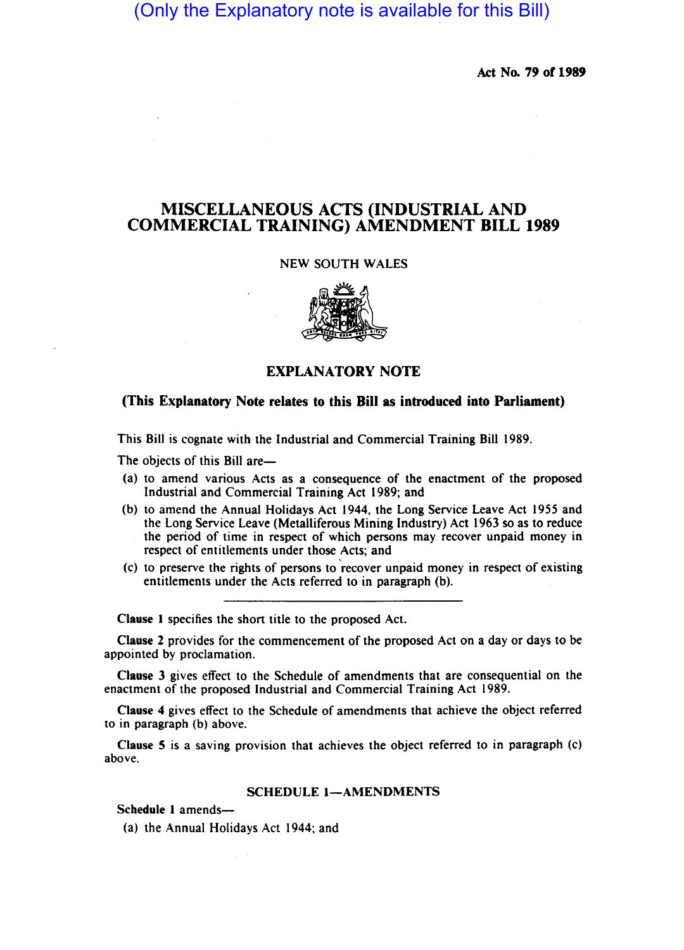# (Only the Explanatory note is available for this Bill)

Act No. 79 or 1989

## MISCELLANEOUS ACTS (INDUSTRIAL AND COMMERCIAL TRAINING) AMENDMENT BILL 1989

### NEW SOUTH WALES



## EXPLANATORY NOTE

## (This Explanatory Note relates to this Bill as introduced into Parliament)

This Bill is cognate with the Industrial and Commercial Training Bill 1989.

The objects of this Bill are-

- (a) to amend various Acts as a consequence of the enactment of the proposed Industrial and Commercial Training Act 1989; and
- (b) to amend the Annual Holidays Act 1944, the Long Service Leave Act 1955 and the Long Service Leave (Metalliferous Mining Industry) Act 1963 so as to reduce the period of time in respect of which persons may recover unpaid money in respect of entitlements under those Acts; and
- (c) to preserve the rights of persons to 'recover unpaid money in respect of existing entitlements under the Acts referred to in paragraph (b).

Clause I specifies the short title to the proposed Act.

Clause 2 provides for the commencement of the proposed Act on a day or days to be appointed by proclamation.

Clause 3 gives effect to the Schedule of amendments that are consequential on the enactment of the proposed Industrial and Commercial Training Act 1989.

Clause 4 gives effect to the Schedule of amendments that achieve the object referred to in paragraph (b) above.

Clause 5 is a saving provision that achieves the object referred to in paragraph (c) above.

#### SCHEDULE 1-AMENDMENTS

Schedule 1 amends-

(a) the Annual Holidays Act 1944; and